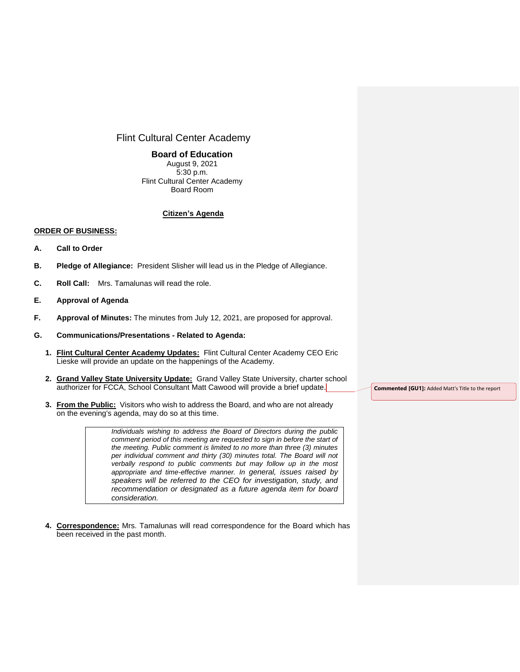# Flint Cultural Center Academy

### **Board of Education**

August 9, 2021 5:30 p.m. Flint Cultural Center Academy Board Room

## **Citizen's Agenda**

#### **ORDER OF BUSINESS:**

- **A. Call to Order**
- **B. Pledge of Allegiance:** President Slisher will lead us in the Pledge of Allegiance.
- **C. Roll Call:** Mrs. Tamalunas will read the role.
- **E. Approval of Agenda**
- **F. Approval of Minutes:** The minutes from July 12, 2021, are proposed for approval.

#### **G. Communications/Presentations - Related to Agenda:**

- **1. Flint Cultural Center Academy Updates:** Flint Cultural Center Academy CEO Eric Lieske will provide an update on the happenings of the Academy.
- **2. Grand Valley State University Update:** Grand Valley State University, charter school authorizer for FCCA, School Consultant Matt Cawood will provide a brief update.
- **3. From the Public:** Visitors who wish to address the Board, and who are not already on the evening's agenda, may do so at this time.

*Individuals wishing to address the Board of Directors during the public comment period of this meeting are requested to sign in before the start of the meeting. Public comment is limited to no more than three (3) minutes per individual comment and thirty (30) minutes total. The Board will not verbally respond to public comments but may follow up in the most appropriate and time-effective manner. In general, issues raised by speakers will be referred to the CEO for investigation, study, and recommendation or designated as a future agenda item for board consideration.*

**4. Correspondence:** Mrs. Tamalunas will read correspondence for the Board which has been received in the past month.

**Commented [GU1]:** Added Matt's Title to the report